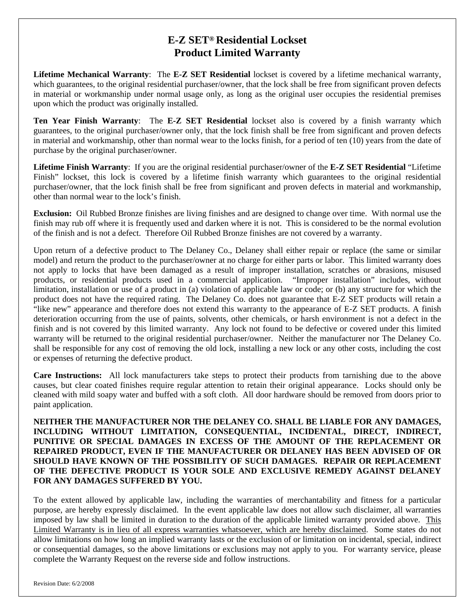## **E-Z SET® Residential Lockset Product Limited Warranty**

**Lifetime Mechanical Warranty**: The **E-Z SET Residential** lockset is covered by a lifetime mechanical warranty, which guarantees, to the original residential purchaser/owner, that the lock shall be free from significant proven defects in material or workmanship under normal usage only, as long as the original user occupies the residential premises upon which the product was originally installed.

**Ten Year Finish Warranty**: The **E-Z SET Residential** lockset also is covered by a finish warranty which guarantees, to the original purchaser/owner only, that the lock finish shall be free from significant and proven defects in material and workmanship, other than normal wear to the locks finish, for a period of ten (10) years from the date of purchase by the original purchaser/owner.

**Lifetime Finish Warranty**: If you are the original residential purchaser/owner of the **E-Z SET Residential** "Lifetime Finish" lockset, this lock is covered by a lifetime finish warranty which guarantees to the original residential purchaser/owner, that the lock finish shall be free from significant and proven defects in material and workmanship, other than normal wear to the lock's finish.

**Exclusion:** Oil Rubbed Bronze finishes are living finishes and are designed to change over time. With normal use the finish may rub off where it is frequently used and darken where it is not. This is considered to be the normal evolution of the finish and is not a defect. Therefore Oil Rubbed Bronze finishes are not covered by a warranty.

Upon return of a defective product to The Delaney Co., Delaney shall either repair or replace (the same or similar model) and return the product to the purchaser/owner at no charge for either parts or labor. This limited warranty does not apply to locks that have been damaged as a result of improper installation, scratches or abrasions, misused products, or residential products used in a commercial application. "Improper installation" includes, without limitation, installation or use of a product in (a) violation of applicable law or code; or (b) any structure for which the product does not have the required rating. The Delaney Co. does not guarantee that E-Z SET products will retain a "like new" appearance and therefore does not extend this warranty to the appearance of E-Z SET products. A finish deterioration occurring from the use of paints, solvents, other chemicals, or harsh environment is not a defect in the finish and is not covered by this limited warranty. Any lock not found to be defective or covered under this limited warranty will be returned to the original residential purchaser/owner. Neither the manufacturer nor The Delaney Co. shall be responsible for any cost of removing the old lock, installing a new lock or any other costs, including the cost or expenses of returning the defective product.

**Care Instructions:** All lock manufacturers take steps to protect their products from tarnishing due to the above causes, but clear coated finishes require regular attention to retain their original appearance. Locks should only be cleaned with mild soapy water and buffed with a soft cloth. All door hardware should be removed from doors prior to paint application.

**NEITHER THE MANUFACTURER NOR THE DELANEY CO. SHALL BE LIABLE FOR ANY DAMAGES, INCLUDING WITHOUT LIMITATION, CONSEQUENTIAL, INCIDENTAL, DIRECT, INDIRECT, PUNITIVE OR SPECIAL DAMAGES IN EXCESS OF THE AMOUNT OF THE REPLACEMENT OR REPAIRED PRODUCT, EVEN IF THE MANUFACTURER OR DELANEY HAS BEEN ADVISED OF OR SHOULD HAVE KNOWN OF THE POSSIBILITY OF SUCH DAMAGES. REPAIR OR REPLACEMENT OF THE DEFECTIVE PRODUCT IS YOUR SOLE AND EXCLUSIVE REMEDY AGAINST DELANEY FOR ANY DAMAGES SUFFERED BY YOU.** 

To the extent allowed by applicable law, including the warranties of merchantability and fitness for a particular purpose, are hereby expressly disclaimed. In the event applicable law does not allow such disclaimer, all warranties imposed by law shall be limited in duration to the duration of the applicable limited warranty provided above. This Limited Warranty is in lieu of all express warranties whatsoever, which are hereby disclaimed. Some states do not allow limitations on how long an implied warranty lasts or the exclusion of or limitation on incidental, special, indirect or consequential damages, so the above limitations or exclusions may not apply to you. For warranty service, please complete the Warranty Request on the reverse side and follow instructions.